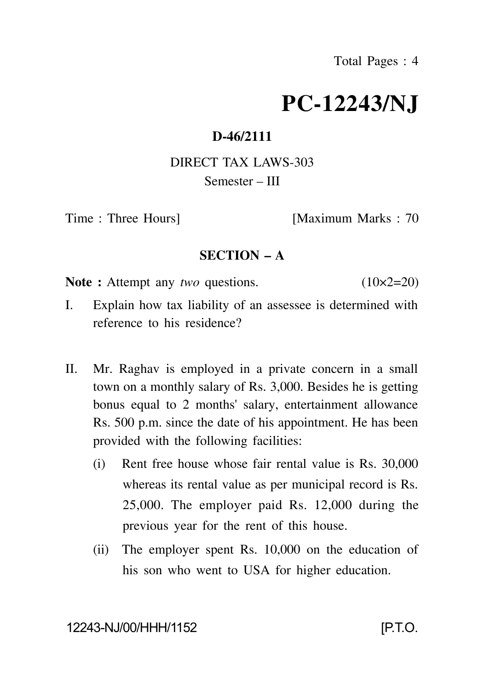# **PC-12243/NJ**

### **D-46/2111**

## DIRECT TAX LAWS-303 Semester – III

Time : Three Hours [Maximum Marks : 70

#### **SECTION – A**

**Note :** Attempt any *two* questions. (10×2=20)

- I. Explain how tax liability of an assessee is determined with reference to his residence?
- II. Mr. Raghav is employed in a private concern in a small town on a monthly salary of Rs. 3,000. Besides he is getting bonus equal to 2 months' salary, entertainment allowance Rs. 500 p.m. since the date of his appointment. He has been provided with the following facilities:
	- (i) Rent free house whose fair rental value is Rs. 30,000 whereas its rental value as per municipal record is Rs. 25,000. The employer paid Rs. 12,000 during the previous year for the rent of this house.
	- (ii) The employer spent Rs. 10,000 on the education of his son who went to USA for higher education.

12243-NJ/00/HHH/1152 [P.T.O.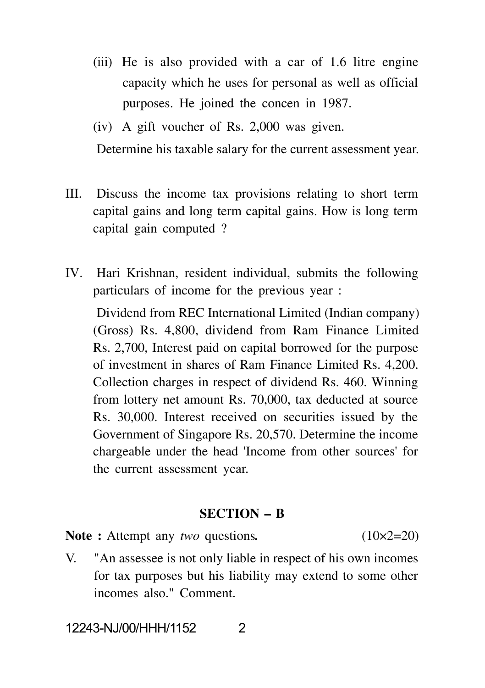- (iii) He is also provided with a car of 1.6 litre engine capacity which he uses for personal as well as official purposes. He joined the concen in 1987.
- (iv) A gift voucher of Rs. 2,000 was given.

Determine his taxable salary for the current assessment year.

- III. Discuss the income tax provisions relating to short term capital gains and long term capital gains. How is long term capital gain computed ?
- IV. Hari Krishnan, resident individual, submits the following particulars of income for the previous year :

Dividend from REC International Limited (Indian company) (Gross) Rs. 4,800, dividend from Ram Finance Limited Rs. 2,700, Interest paid on capital borrowed for the purpose of investment in shares of Ram Finance Limited Rs. 4,200. Collection charges in respect of dividend Rs. 460. Winning from lottery net amount Rs. 70,000, tax deducted at source Rs. 30,000. Interest received on securities issued by the Government of Singapore Rs. 20,570. Determine the income chargeable under the head 'Income from other sources' for the current assessment year.

#### **SECTION – B**

Note : Attempt any *two* questions. (10×2=20)

V. "An assessee is not only liable in respect of his own incomes for tax purposes but his liability may extend to some other incomes also." Comment.

12243-NJ/00/HHH/1152 2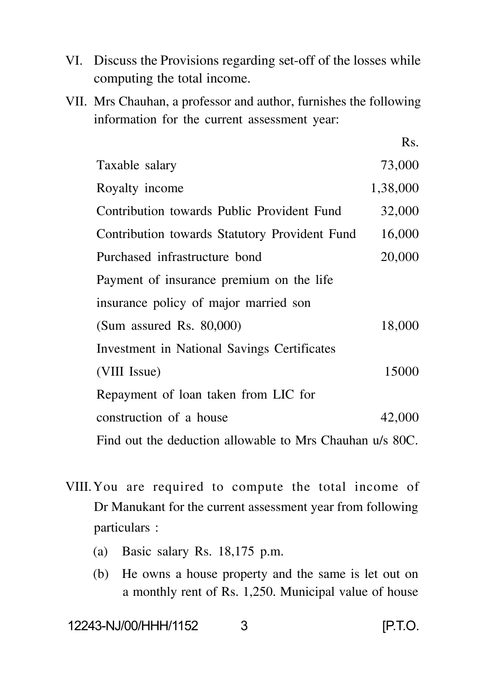- VI. Discuss the Provisions regarding set-off of the losses while computing the total income.
- VII. Mrs Chauhan, a professor and author, furnishes the following information for the current assessment year:

Rs.

| Taxable salary                                           | 73,000   |  |
|----------------------------------------------------------|----------|--|
| Royalty income                                           | 1,38,000 |  |
| Contribution towards Public Provident Fund               | 32,000   |  |
| Contribution towards Statutory Provident Fund            | 16,000   |  |
| Purchased infrastructure bond                            | 20,000   |  |
| Payment of insurance premium on the life                 |          |  |
| insurance policy of major married son                    |          |  |
| (Sum assured Rs. $80,000$ )                              | 18,000   |  |
| Investment in National Savings Certificates              |          |  |
| (VIII Issue)                                             | 15000    |  |
| Repayment of loan taken from LIC for                     |          |  |
| construction of a house                                  | 42,000   |  |
| Find out the deduction allowable to Mrs Chauhan u/s 80C. |          |  |

- VIII.You are required to compute the total income of Dr Manukant for the current assessment year from following particulars :
	- (a) Basic salary Rs. 18,175 p.m.
	- (b) He owns a house property and the same is let out on a monthly rent of Rs. 1,250. Municipal value of house